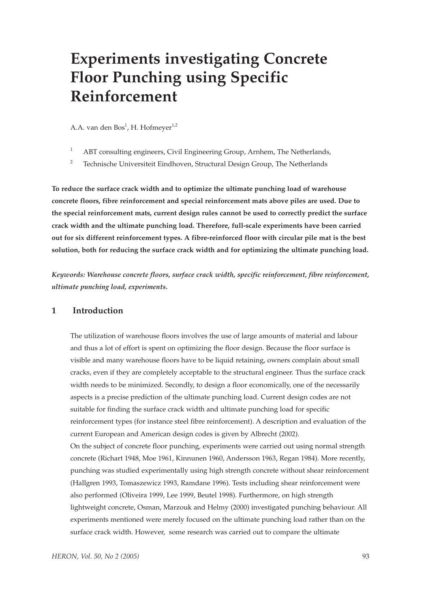# **Experiments investigating Concrete Floor Punching using Specific Reinforcement**

A.A. van den Bos<sup>1</sup>, H. Hofmeyer<sup>1,2</sup>

- <sup>1</sup> ABT consulting engineers, Civil Engineering Group, Arnhem, The Netherlands,
- <sup>2</sup> Technische Universiteit Eindhoven, Structural Design Group, The Netherlands

**To reduce the surface crack width and to optimize the ultimate punching load of warehouse concrete floors, fibre reinforcement and special reinforcement mats above piles are used. Due to the special reinforcement mats, current design rules cannot be used to correctly predict the surface crack width and the ultimate punching load. Therefore, full-scale experiments have been carried out for six different reinforcement types. A fibre-reinforced floor with circular pile mat is the best solution, both for reducing the surface crack width and for optimizing the ultimate punching load.**

*Keywords: Warehouse concrete floors, surface crack width, specific reinforcement, fibre reinforcement, ultimate punching load, experiments.*

### **1 Introduction**

The utilization of warehouse floors involves the use of large amounts of material and labour and thus a lot of effort is spent on optimizing the floor design. Because the floor surface is visible and many warehouse floors have to be liquid retaining, owners complain about small cracks, even if they are completely acceptable to the structural engineer. Thus the surface crack width needs to be minimized. Secondly, to design a floor economically, one of the necessarily aspects is a precise prediction of the ultimate punching load. Current design codes are not suitable for finding the surface crack width and ultimate punching load for specific reinforcement types (for instance steel fibre reinforcement). A description and evaluation of the current European and American design codes is given by Albrecht (2002). On the subject of concrete floor punching, experiments were carried out using normal strength concrete (Richart 1948, Moe 1961, Kinnunen 1960, Andersson 1963, Regan 1984). More recently, punching was studied experimentally using high strength concrete without shear reinforcement (Hallgren 1993, Tomaszewicz 1993, Ramdane 1996). Tests including shear reinforcement were also performed (Oliveira 1999, Lee 1999, Beutel 1998). Furthermore, on high strength lightweight concrete, Osman, Marzouk and Helmy (2000) investigated punching behaviour. All experiments mentioned were merely focused on the ultimate punching load rather than on the surface crack width. However, some research was carried out to compare the ultimate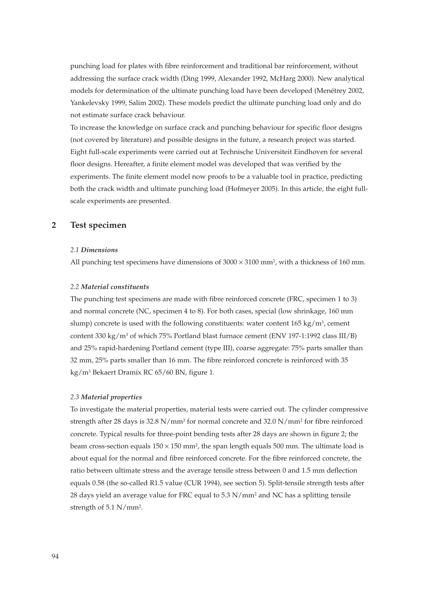punching load for plates with fibre reinforcement and traditional bar reinforcement, without addressing the surface crack width (Ding 1999, Alexander 1992, McHarg 2000). New analytical models for determination of the ultimate punching load have been developed (Menétrey 2002, Yankelevsky 1999, Salim 2002). These models predict the ultimate punching load only and do not estimate surface crack behaviour.

To increase the knowledge on surface crack and punching behaviour for specific floor designs (not covered by literature) and possible designs in the future, a research project was started. Eight full-scale experiments were carried out at Technische Universiteit Eindhoven for several floor designs. Hereafter, a finite element model was developed that was verified by the experiments. The finite element model now proofs to be a valuable tool in practice, predicting both the crack width and ultimate punching load (Hofmeyer 2005). In this article, the eight fullscale experiments are presented.

## **2 Test specimen**

#### *2.1 Dimensions*

All punching test specimens have dimensions of  $3000 \times 3100$  mm<sup>2</sup>, with a thickness of 160 mm.

#### *2.2 Material constituents*

The punching test specimens are made with fibre reinforced concrete (FRC, specimen 1 to 3) and normal concrete (NC, specimen 4 to 8). For both cases, special (low shrinkage, 160 mm slump) concrete is used with the following constituents: water content  $165 \text{ kg/m}^3$ , cement content 330 kg/m<sup>3</sup> of which 75% Portland blast furnace cement (ENV 197-1:1992 class III/B) and 25% rapid-hardening Portland cement (type III), coarse aggregate: 75% parts smaller than 32 mm, 25% parts smaller than 16 mm. The fibre reinforced concrete is reinforced with 35 kg/m3 Bekaert Dramix RC 65/60 BN, figure 1.

#### *2.3 Material properties*

To investigate the material properties, material tests were carried out. The cylinder compressive strength after 28 days is 32.8 N/mm2 for normal concrete and 32.0 N/mm2 for fibre reinforced concrete. Typical results for three-point bending tests after 28 days are shown in figure 2; the beam cross-section equals  $150 \times 150$  mm<sup>2</sup>, the span length equals 500 mm. The ultimate load is about equal for the normal and fibre reinforced concrete. For the fibre reinforced concrete, the ratio between ultimate stress and the average tensile stress between 0 and 1.5 mm deflection equals 0.58 (the so-called R1.5 value (CUR 1994), see section 5). Split-tensile strength tests after 28 days yield an average value for FRC equal to 5.3 N/mm2 and NC has a splitting tensile strength of 5.1 N/mm2.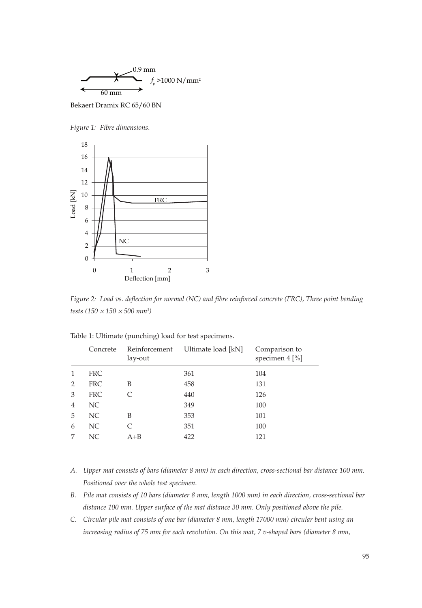

Bekaert Dramix RC 65/60 BN

*Figure 1: Fibre dimensions.*



*Figure 2: Load vs. deflection for normal (NC) and fibre reinforced concrete (FRC), Three point bending tests (150* <sup>×</sup> *150* <sup>×</sup> *500 mm3)* 

|                | Concrete   | Reinforcement<br>lay-out | Ultimate load [kN] | Comparison to<br>specimen 4 [%] |
|----------------|------------|--------------------------|--------------------|---------------------------------|
| 1              | <b>FRC</b> |                          | 361                | 104                             |
| 2              | <b>FRC</b> | B                        | 458                | 131                             |
| 3              | <b>FRC</b> | $\subset$                | 440                | 126                             |
| $\overline{4}$ | NC         |                          | 349                | 100                             |
| 5              | NC         | B                        | 353                | 101                             |
| 6              | NC.        |                          | 351                | 100                             |
| 7              | NC.        | $A + B$                  | 422                | 121                             |

Table 1: Ultimate (punching) load for test specimens.

- *A. Upper mat consists of bars (diameter 8 mm) in each direction, cross-sectional bar distance 100 mm. Positioned over the whole test specimen.*
- *B. Pile mat consists of 10 bars (diameter 8 mm, length 1000 mm) in each direction, cross-sectional bar distance 100 mm. Upper surface of the mat distance 30 mm. Only positioned above the pile.*
- *C. Circular pile mat consists of one bar (diameter 8 mm, length 17000 mm) circular bent using an increasing radius of 75 mm for each revolution. On this mat, 7 v-shaped bars (diameter 8 mm,*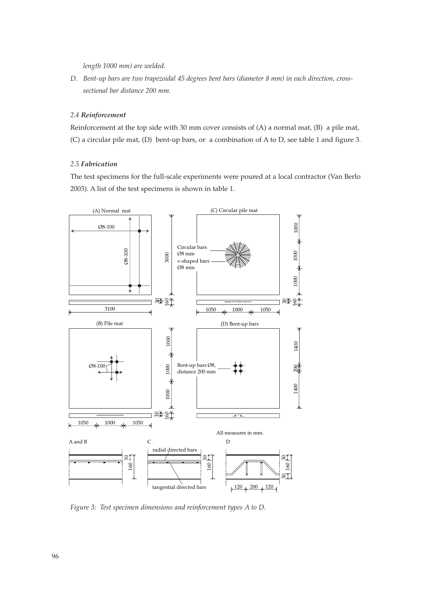*length 1000 mm) are welded.*

*D. Bent-up bars are two trapezoidal 45 degrees bent bars (diameter 8 mm) in each direction, crosssectional bar distance 200 mm.*

#### *2.4 Reinforcement*

Reinforcement at the top side with 30 mm cover consists of (A) a normal mat, (B) a pile mat, (C) a circular pile mat, (D) bent-up bars, or a combination of A to D, see table 1 and figure 3.

#### *2.5 Fabrication*

The test specimens for the full-scale experiments were poured at a local contractor (Van Berlo 2003). A list of the test specimens is shown in table 1.



*Figure 3: Test specimen dimensions and reinforcement types A to D.*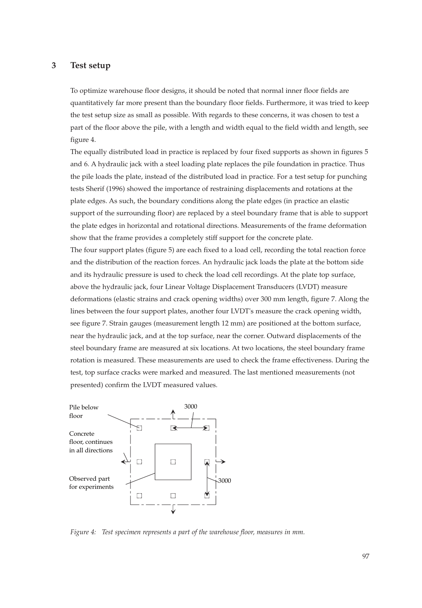## **3 Test setup**

To optimize warehouse floor designs, it should be noted that normal inner floor fields are quantitatively far more present than the boundary floor fields. Furthermore, it was tried to keep the test setup size as small as possible. With regards to these concerns, it was chosen to test a part of the floor above the pile, with a length and width equal to the field width and length, see figure 4.

The equally distributed load in practice is replaced by four fixed supports as shown in figures 5 and 6. A hydraulic jack with a steel loading plate replaces the pile foundation in practice. Thus the pile loads the plate, instead of the distributed load in practice. For a test setup for punching tests Sherif (1996) showed the importance of restraining displacements and rotations at the plate edges. As such, the boundary conditions along the plate edges (in practice an elastic support of the surrounding floor) are replaced by a steel boundary frame that is able to support the plate edges in horizontal and rotational directions. Measurements of the frame deformation show that the frame provides a completely stiff support for the concrete plate. The four support plates (figure 5) are each fixed to a load cell, recording the total reaction force and the distribution of the reaction forces. An hydraulic jack loads the plate at the bottom side and its hydraulic pressure is used to check the load cell recordings. At the plate top surface, above the hydraulic jack, four Linear Voltage Displacement Transducers (LVDT) measure deformations (elastic strains and crack opening widths) over 300 mm length, figure 7. Along the lines between the four support plates, another four LVDT's measure the crack opening width, see figure 7. Strain gauges (measurement length 12 mm) are positioned at the bottom surface, near the hydraulic jack, and at the top surface, near the corner. Outward displacements of the steel boundary frame are measured at six locations. At two locations, the steel boundary frame rotation is measured. These measurements are used to check the frame effectiveness. During the test, top surface cracks were marked and measured. The last mentioned measurements (not presented) confirm the LVDT measured values.



*Figure 4: Test specimen represents a part of the warehouse floor, measures in mm.*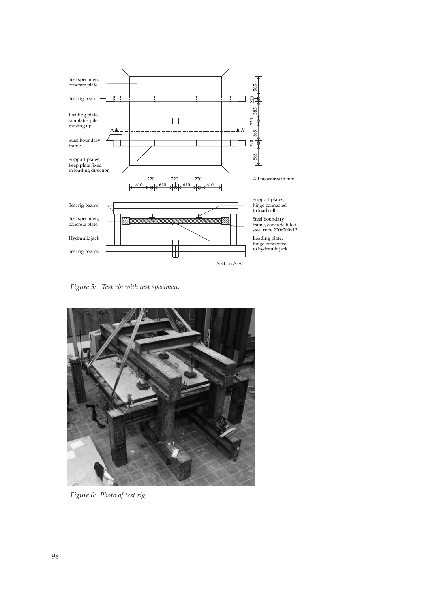

*Figure 5: Test rig with test specimen.*



*Figure 6: Photo of test rig*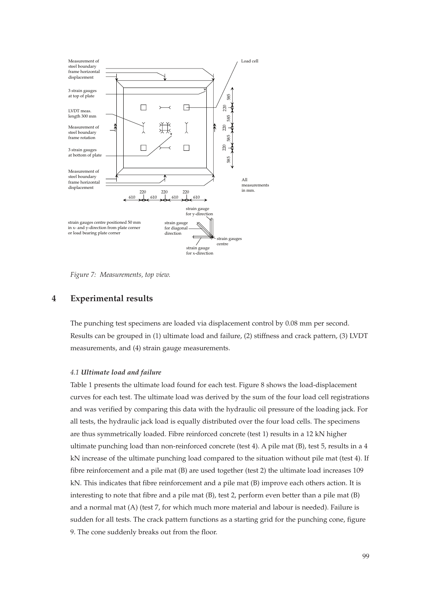

*Figure 7: Measurements, top view.*

## **4 Experimental results**

The punching test specimens are loaded via displacement control by 0.08 mm per second. Results can be grouped in (1) ultimate load and failure, (2) stiffness and crack pattern, (3) LVDT measurements, and (4) strain gauge measurements.

#### *4.1 Ultimate load and failure*

Table 1 presents the ultimate load found for each test. Figure 8 shows the load-displacement curves for each test. The ultimate load was derived by the sum of the four load cell registrations and was verified by comparing this data with the hydraulic oil pressure of the loading jack. For all tests, the hydraulic jack load is equally distributed over the four load cells. The specimens are thus symmetrically loaded. Fibre reinforced concrete (test 1) results in a 12 kN higher ultimate punching load than non-reinforced concrete (test 4). A pile mat (B), test 5, results in a 4 kN increase of the ultimate punching load compared to the situation without pile mat (test 4). If fibre reinforcement and a pile mat (B) are used together (test 2) the ultimate load increases 109 kN. This indicates that fibre reinforcement and a pile mat (B) improve each others action. It is interesting to note that fibre and a pile mat (B), test 2, perform even better than a pile mat (B) and a normal mat (A) (test 7, for which much more material and labour is needed). Failure is sudden for all tests. The crack pattern functions as a starting grid for the punching cone, figure 9. The cone suddenly breaks out from the floor.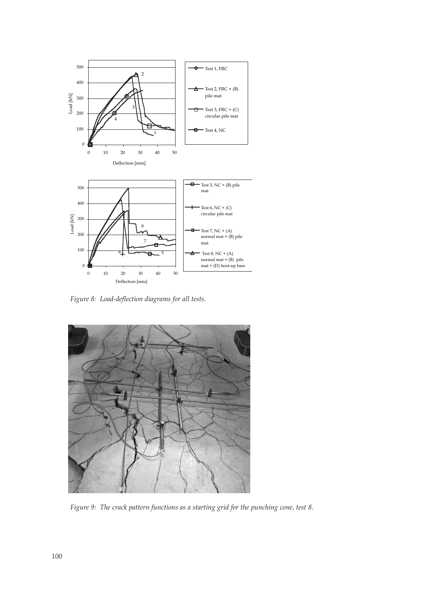

*Figure 8: Load-deflection diagrams for all tests.*



*Figure 9: The crack pattern functions as a starting grid for the punching cone, test 8.*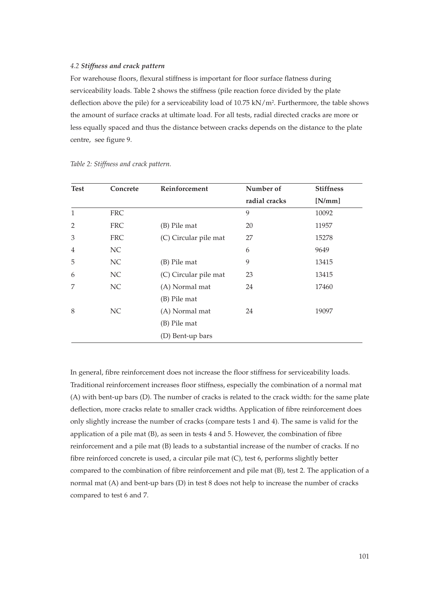#### *4.2 Stiffness and crack pattern*

For warehouse floors, flexural stiffness is important for floor surface flatness during serviceability loads. Table 2 shows the stiffness (pile reaction force divided by the plate deflection above the pile) for a serviceability load of  $10.75 \text{ kN/m}^2$ . Furthermore, the table shows the amount of surface cracks at ultimate load. For all tests, radial directed cracks are more or less equally spaced and thus the distance between cracks depends on the distance to the plate centre, see figure 9.

| <b>Test</b>    | Concrete   | Reinforcement         | Number of     | <b>Stiffness</b> |
|----------------|------------|-----------------------|---------------|------------------|
|                |            |                       | radial cracks | [N/mm]           |
| $\mathbf{1}$   | <b>FRC</b> |                       | 9             | 10092            |
| $\overline{2}$ | <b>FRC</b> | (B) Pile mat          | 20            | 11957            |
| 3              | <b>FRC</b> | (C) Circular pile mat | 27            | 15278            |
| $\overline{4}$ | NC         |                       | 6             | 9649             |
| 5              | NC         | (B) Pile mat          | 9             | 13415            |
| 6              | NC         | (C) Circular pile mat | 23            | 13415            |
| 7              | NC         | (A) Normal mat        | 24            | 17460            |
|                |            | (B) Pile mat          |               |                  |
| 8              | NC.        | (A) Normal mat        | 24            | 19097            |
|                |            | (B) Pile mat          |               |                  |
|                |            | (D) Bent-up bars      |               |                  |

*Table 2: Stiffness and crack pattern.*

In general, fibre reinforcement does not increase the floor stiffness for serviceability loads. Traditional reinforcement increases floor stiffness, especially the combination of a normal mat (A) with bent-up bars (D). The number of cracks is related to the crack width: for the same plate deflection, more cracks relate to smaller crack widths. Application of fibre reinforcement does only slightly increase the number of cracks (compare tests 1 and 4). The same is valid for the application of a pile mat (B), as seen in tests 4 and 5. However, the combination of fibre reinforcement and a pile mat (B) leads to a substantial increase of the number of cracks. If no fibre reinforced concrete is used, a circular pile mat (C), test 6, performs slightly better compared to the combination of fibre reinforcement and pile mat (B), test 2. The application of a normal mat (A) and bent-up bars (D) in test 8 does not help to increase the number of cracks compared to test 6 and 7.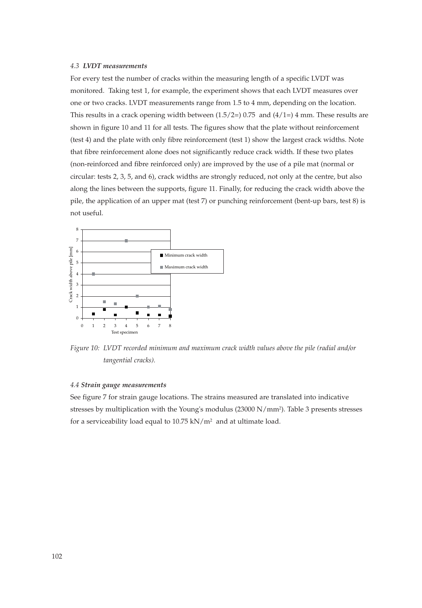## *4.3 LVDT measurements*

For every test the number of cracks within the measuring length of a specific LVDT was monitored. Taking test 1, for example, the experiment shows that each LVDT measures over one or two cracks. LVDT measurements range from 1.5 to 4 mm, depending on the location. This results in a crack opening width between  $(1.5/2=) 0.75$  and  $(4/1=) 4$  mm. These results are shown in figure 10 and 11 for all tests. The figures show that the plate without reinforcement (test 4) and the plate with only fibre reinforcement (test 1) show the largest crack widths. Note that fibre reinforcement alone does not significantly reduce crack width. If these two plates (non-reinforced and fibre reinforced only) are improved by the use of a pile mat (normal or circular: tests 2, 3, 5, and 6), crack widths are strongly reduced, not only at the centre, but also along the lines between the supports, figure 11. Finally, for reducing the crack width above the pile, the application of an upper mat (test 7) or punching reinforcement (bent-up bars, test 8) is not useful.



*Figure 10: LVDT recorded minimum and maximum crack width values above the pile (radial and/or tangential cracks).*

#### *4.4 Strain gauge measurements*

See figure 7 for strain gauge locations. The strains measured are translated into indicative stresses by multiplication with the Young's modulus  $(23000 \text{ N/mm}^2)$ . Table 3 presents stresses for a serviceability load equal to  $10.75$  kN/ $m<sup>2</sup>$  and at ultimate load.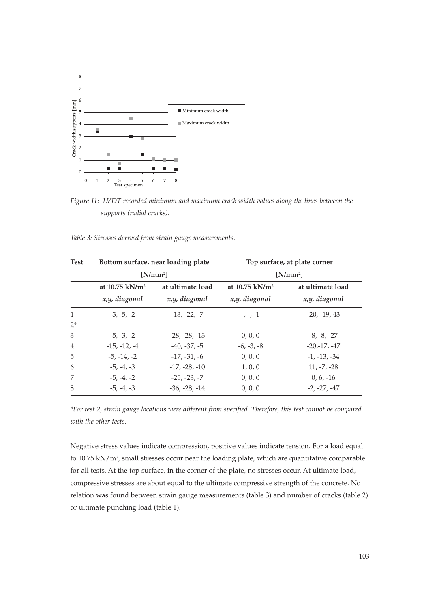

*Figure 11: LVDT recorded minimum and maximum crack width values along the lines between the supports (radial cracks).*

*Table 3: Stresses derived from strain gauge measurements.*

| <b>Test</b>    |                            | Bottom surface, near loading plate | Top surface, at plate corner<br>$[N/mm^2]$ |                  |  |
|----------------|----------------------------|------------------------------------|--------------------------------------------|------------------|--|
|                |                            | $[N/mm^2]$                         |                                            |                  |  |
|                | at 10.75 kN/m <sup>2</sup> | at ultimate load                   | at 10.75 kN/m <sup>2</sup>                 | at ultimate load |  |
|                | x,y, diagonal              | x,y, diagonal                      | x,y, diagonal                              | x,y, diagonal    |  |
| $\mathbf{1}$   | $-3. -5. -2$               | $-13. -22. -7$                     | $-,-,-1$                                   | $-20, -19, 43$   |  |
| $2*$           |                            |                                    |                                            |                  |  |
| 3              | $-5. -3. -2$               | $-28. -28. -13$                    | 0, 0, 0                                    | $-8, -8, -27$    |  |
| $\overline{4}$ | $-15, -12, -4$             | $-40, -37, -5$                     | $-6, -3, -8$                               | $-20, -17, -47$  |  |
| 5              | $-5, -14, -2$              | $-17. -31. -6$                     | 0, 0, 0                                    | $-1, -13, -34$   |  |
| 6              | $-5, -4, -3$               | $-17, -28, -10$                    | 1, 0, 0                                    | $11, -7, -28$    |  |
| 7              | $-5, -4, -2$               | $-25, -23, -7$                     | 0, 0, 0                                    | $0, 6, -16$      |  |
| 8              | $-5, -4, -3$               | $-36. -28. -14$                    | 0, 0, 0                                    | $-2, -27, -47$   |  |

*\*For test 2, strain gauge locations were different from specified. Therefore, this test cannot be compared with the other tests.*

Negative stress values indicate compression, positive values indicate tension. For a load equal to 10.75 kN/m<sup>2</sup>, small stresses occur near the loading plate, which are quantitative comparable for all tests. At the top surface, in the corner of the plate, no stresses occur. At ultimate load, compressive stresses are about equal to the ultimate compressive strength of the concrete. No relation was found between strain gauge measurements (table 3) and number of cracks (table 2) or ultimate punching load (table 1).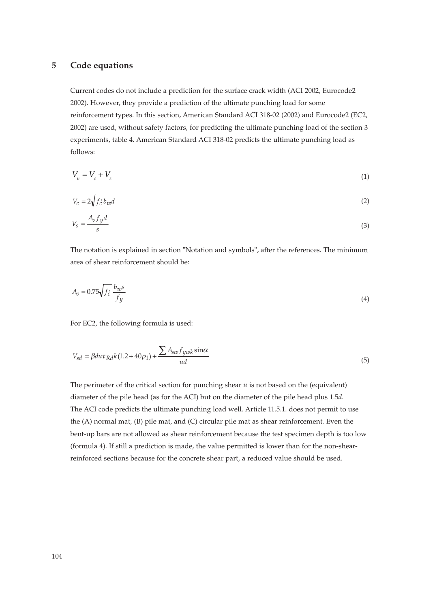## **5 Code equations**

Current codes do not include a prediction for the surface crack width (ACI 2002, Eurocode2 2002). However, they provide a prediction of the ultimate punching load for some reinforcement types. In this section, American Standard ACI 318-02 (2002) and Eurocode2 (EC2, 2002) are used, without safety factors, for predicting the ultimate punching load of the section 3 experiments, table 4. American Standard ACI 318-02 predicts the ultimate punching load as follows:

$$
V_n = V_c + V_s \tag{1}
$$

$$
V_c = 2\sqrt{f_c'} b_w d
$$
 (2)

$$
V_s = \frac{A_v f_y d}{s} \tag{3}
$$

The notation is explained in section "Notation and symbols", after the references. The minimum area of shear reinforcement should be:

$$
A_v = 0.75\sqrt{f'_c} \frac{b_w s}{f_y} \tag{4}
$$

For EC2, the following formula is used:

$$
V_{sd} = \beta du \tau_{Rd} k (1.2 + 40 \rho_1) + \frac{\sum A_{sw} f_{ywk} \sin \alpha}{ud}
$$
\n
$$
\tag{5}
$$

The perimeter of the critical section for punching shear  $u$  is not based on the (equivalent) diameter of the pile head (as for the ACI) but on the diameter of the pile head plus 1.5*d*. The ACI code predicts the ultimate punching load well. Article 11.5.1. does not permit to use the (A) normal mat, (B) pile mat, and (C) circular pile mat as shear reinforcement. Even the bent-up bars are not allowed as shear reinforcement because the test specimen depth is too low (formula 4). If still a prediction is made, the value permitted is lower than for the non-shearreinforced sections because for the concrete shear part, a reduced value should be used.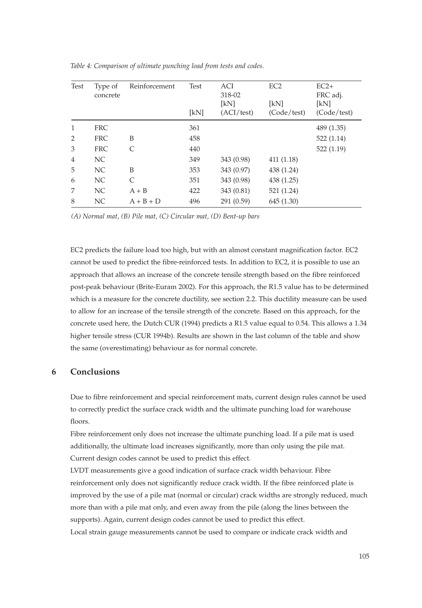| Test           | Type of<br>concrete | Reinforcement | <b>Test</b><br>[kN] | ACI<br>318-02<br>[kN]<br>(ACI/test) | EC <sub>2</sub><br>[kN]<br>(Code/test) | $EC2+$<br>FRC adj.<br>[kN]<br>(Code/test) |
|----------------|---------------------|---------------|---------------------|-------------------------------------|----------------------------------------|-------------------------------------------|
| 1              | <b>FRC</b>          |               | 361                 |                                     |                                        | 489 (1.35)                                |
| 2              | <b>FRC</b>          | B             | 458                 |                                     |                                        | 522(1.14)                                 |
| 3              | <b>FRC</b>          | C             | 440                 |                                     |                                        | 522 (1.19)                                |
| $\overline{4}$ | NC                  |               | 349                 | 343 (0.98)                          | 411(1.18)                              |                                           |
| 5              | NC.                 | B             | 353                 | 343 (0.97)                          | 438 (1.24)                             |                                           |
| 6              | NC.                 | C             | 351                 | 343 (0.98)                          | 438 (1.25)                             |                                           |
| 7              | NC.                 | $A + B$       | 422                 | 343 (0.81)                          | 521 (1.24)                             |                                           |
| 8              | NC                  | $A + B + D$   | 496                 | 291 (0.59)                          | 645 (1.30)                             |                                           |

*Table 4: Comparison of ultimate punching load from tests and codes.*

*(A) Normal mat, (B) Pile mat, (C) Circular mat, (D) Bent-up bars*

EC2 predicts the failure load too high, but with an almost constant magnification factor. EC2 cannot be used to predict the fibre-reinforced tests. In addition to EC2, it is possible to use an approach that allows an increase of the concrete tensile strength based on the fibre reinforced post-peak behaviour (Brite-Euram 2002). For this approach, the R1.5 value has to be determined which is a measure for the concrete ductility, see section 2.2. This ductility measure can be used to allow for an increase of the tensile strength of the concrete. Based on this approach, for the concrete used here, the Dutch CUR (1994) predicts a R1.5 value equal to 0.54. This allows a 1.34 higher tensile stress (CUR 1994b). Results are shown in the last column of the table and show the same (overestimating) behaviour as for normal concrete.

## **6 Conclusions**

Due to fibre reinforcement and special reinforcement mats, current design rules cannot be used to correctly predict the surface crack width and the ultimate punching load for warehouse floors.

Fibre reinforcement only does not increase the ultimate punching load. If a pile mat is used additionally, the ultimate load increases significantly, more than only using the pile mat. Current design codes cannot be used to predict this effect.

LVDT measurements give a good indication of surface crack width behaviour. Fibre reinforcement only does not significantly reduce crack width. If the fibre reinforced plate is improved by the use of a pile mat (normal or circular) crack widths are strongly reduced, much more than with a pile mat only, and even away from the pile (along the lines between the supports). Again, current design codes cannot be used to predict this effect. Local strain gauge measurements cannot be used to compare or indicate crack width and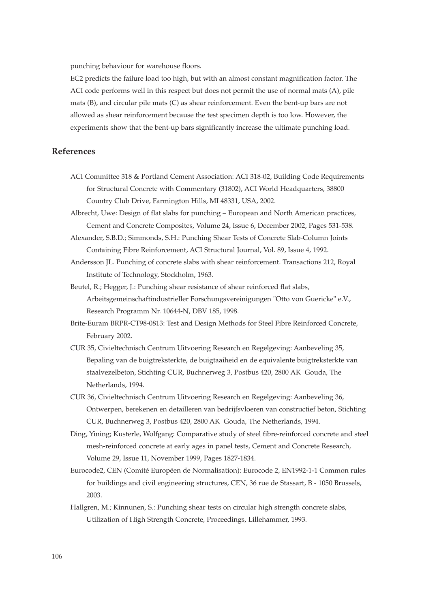punching behaviour for warehouse floors.

EC2 predicts the failure load too high, but with an almost constant magnification factor. The ACI code performs well in this respect but does not permit the use of normal mats (A), pile mats (B), and circular pile mats (C) as shear reinforcement. Even the bent-up bars are not allowed as shear reinforcement because the test specimen depth is too low. However, the experiments show that the bent-up bars significantly increase the ultimate punching load.

## **References**

ACI Committee 318 & Portland Cement Association: ACI 318-02, Building Code Requirements for Structural Concrete with Commentary (31802), ACI World Headquarters, 38800 Country Club Drive, Farmington Hills, MI 48331, USA, 2002.

Albrecht, Uwe: Design of flat slabs for punching – European and North American practices, Cement and Concrete Composites, Volume 24, Issue 6, December 2002, Pages 531-538.

Alexander, S.B.D.; Simmonds, S.H.: Punching Shear Tests of Concrete Slab-Column Joints Containing Fibre Reinforcement, ACI Structural Journal, Vol. 89, Issue 4, 1992.

Andersson JL. Punching of concrete slabs with shear reinforcement. Transactions 212, Royal Institute of Technology, Stockholm, 1963.

Beutel, R.; Hegger, J.: Punching shear resistance of shear reinforced flat slabs, Arbeitsgemeinschaftindustrieller Forschungsvereinigungen "Otto von Guericke" e.V., Research Programm Nr. 10644-N, DBV 185, 1998.

- Brite-Euram BRPR-CT98-0813: Test and Design Methods for Steel Fibre Reinforced Concrete, February 2002.
- CUR 35, Civieltechnisch Centrum Uitvoering Research en Regelgeving: Aanbeveling 35, Bepaling van de buigtreksterkte, de buigtaaiheid en de equivalente buigtreksterkte van staalvezelbeton, Stichting CUR, Buchnerweg 3, Postbus 420, 2800 AK Gouda, The Netherlands, 1994.
- CUR 36, Civieltechnisch Centrum Uitvoering Research en Regelgeving: Aanbeveling 36, Ontwerpen, berekenen en detailleren van bedrijfsvloeren van constructief beton, Stichting CUR, Buchnerweg 3, Postbus 420, 2800 AK Gouda, The Netherlands, 1994.
- Ding, Yining; Kusterle, Wolfgang: Comparative study of steel fibre-reinforced concrete and steel mesh-reinforced concrete at early ages in panel tests, Cement and Concrete Research, Volume 29, Issue 11, November 1999, Pages 1827-1834.
- Eurocode2, CEN (Comité Européen de Normalisation): Eurocode 2, EN1992-1-1 Common rules for buildings and civil engineering structures, CEN, 36 rue de Stassart, B - 1050 Brussels, 2003.
- Hallgren, M.; Kinnunen, S.: Punching shear tests on circular high strength concrete slabs, Utilization of High Strength Concrete, Proceedings, Lillehammer, 1993.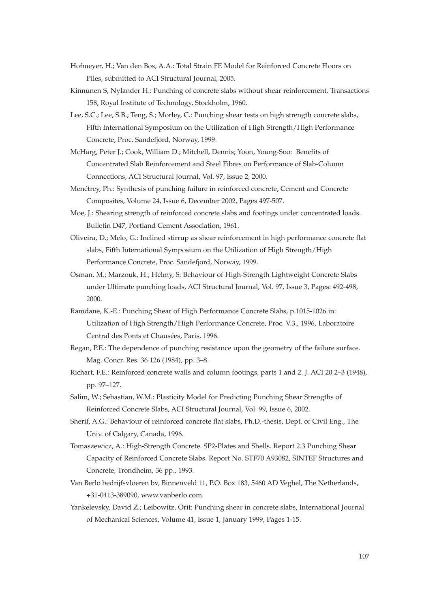- Hofmeyer, H.; Van den Bos, A.A.: Total Strain FE Model for Reinforced Concrete Floors on Piles, submitted to ACI Structural Journal, 2005.
- Kinnunen S, Nylander H.: Punching of concrete slabs without shear reinforcement. Transactions 158, Royal Institute of Technology, Stockholm, 1960.
- Lee, S.C.; Lee, S.B.; Teng, S.; Morley, C.: Punching shear tests on high strength concrete slabs, Fifth International Symposium on the Utilization of High Strength/High Performance Concrete, Proc. Sandefjord, Norway, 1999.
- McHarg, Peter J.; Cook, William D.; Mitchell, Dennis; Yoon, Young-Soo: Benefits of Concentrated Slab Reinforcement and Steel Fibres on Performance of Slab-Column Connections, ACI Structural Journal, Vol. 97, Issue 2, 2000.
- Menétrey, Ph.: Synthesis of punching failure in reinforced concrete, Cement and Concrete Composites, Volume 24, Issue 6, December 2002, Pages 497-507.
- Moe, J.: Shearing strength of reinforced concrete slabs and footings under concentrated loads. Bulletin D47, Portland Cement Association, 1961.
- Oliveira, D.; Melo, G.: Inclined stirrup as shear reinforcement in high performance concrete flat slabs, Fifth International Symposium on the Utilization of High Strength/High Performance Concrete, Proc. Sandefjord, Norway, 1999.
- Osman, M.; Marzouk, H.; Helmy, S: Behaviour of High-Strength Lightweight Concrete Slabs under Ultimate punching loads, ACI Structural Journal, Vol. 97, Issue 3, Pages: 492-498, 2000.
- Ramdane, K.-E.: Punching Shear of High Performance Concrete Slabs, p.1015-1026 in: Utilization of High Strength/High Performance Concrete, Proc. V.3., 1996, Laboratoire Central des Ponts et Chausées, Paris, 1996.
- Regan, P.E.: The dependence of punching resistance upon the geometry of the failure surface. Mag. Concr. Res. 36 126 (1984), pp. 3–8.
- Richart, F.E.: Reinforced concrete walls and column footings, parts 1 and 2. J. ACI 20 2–3 (1948), pp. 97–127.
- Salim, W.; Sebastian, W.M.: Plasticity Model for Predicting Punching Shear Strengths of Reinforced Concrete Slabs, ACI Structural Journal, Vol. 99, Issue 6, 2002.
- Sherif, A.G.: Behaviour of reinforced concrete flat slabs, Ph.D.-thesis, Dept. of Civil Eng., The Univ. of Calgary, Canada, 1996.
- Tomaszewicz, A.: High-Strength Concrete. SP2-Plates and Shells. Report 2.3 Punching Shear Capacity of Reinforced Concrete Slabs. Report No. STF70 A93082, SINTEF Structures and Concrete, Trondheim, 36 pp., 1993.
- Van Berlo bedrijfsvloeren bv, Binnenveld 11, P.O. Box 183, 5460 AD Veghel, The Netherlands, +31-0413-389090, www.vanberlo.com.
- Yankelevsky, David Z.; Leibowitz, Orit: Punching shear in concrete slabs, International Journal of Mechanical Sciences, Volume 41, Issue 1, January 1999, Pages 1-15.